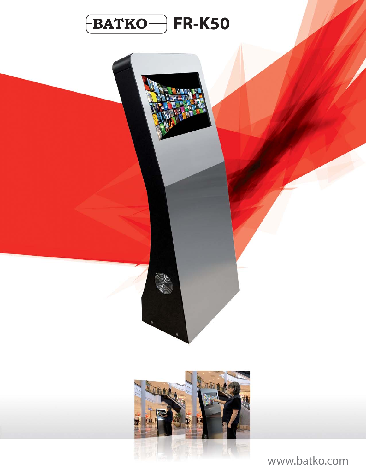



www.batko.com